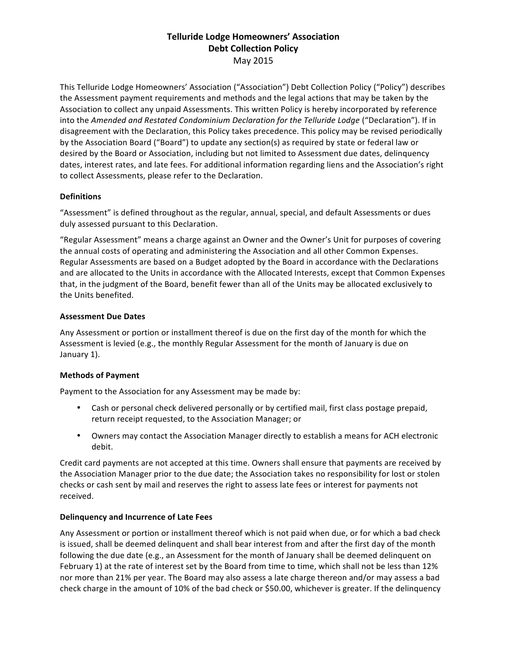# **Telluride Lodge Homeowners' Association Debt Collection Policy** May 2015

This Telluride Lodge Homeowners' Association ("Association") Debt Collection Policy ("Policy") describes the Assessment payment requirements and methods and the legal actions that may be taken by the Association to collect any unpaid Assessments. This written Policy is hereby incorporated by reference into the Amended and Restated Condominium Declaration for the Telluride Lodge ("Declaration"). If in disagreement with the Declaration, this Policy takes precedence. This policy may be revised periodically by the Association Board ("Board") to update any section(s) as required by state or federal law or desired by the Board or Association, including but not limited to Assessment due dates, delinquency dates, interest rates, and late fees. For additional information regarding liens and the Association's right to collect Assessments, please refer to the Declaration.

## **Definitions**

"Assessment" is defined throughout as the regular, annual, special, and default Assessments or dues duly assessed pursuant to this Declaration.

"Regular Assessment" means a charge against an Owner and the Owner's Unit for purposes of covering the annual costs of operating and administering the Association and all other Common Expenses. Regular Assessments are based on a Budget adopted by the Board in accordance with the Declarations and are allocated to the Units in accordance with the Allocated Interests, except that Common Expenses that, in the judgment of the Board, benefit fewer than all of the Units may be allocated exclusively to the Units benefited.

## **Assessment Due Dates**

Any Assessment or portion or installment thereof is due on the first day of the month for which the Assessment is levied (e.g., the monthly Regular Assessment for the month of January is due on January 1).

## **Methods of Payment**

Payment to the Association for any Assessment may be made by:

- Cash or personal check delivered personally or by certified mail, first class postage prepaid, return receipt requested, to the Association Manager; or
- Owners may contact the Association Manager directly to establish a means for ACH electronic debit.

Credit card payments are not accepted at this time. Owners shall ensure that payments are received by the Association Manager prior to the due date; the Association takes no responsibility for lost or stolen checks or cash sent by mail and reserves the right to assess late fees or interest for payments not received.

## **Delinquency and Incurrence of Late Fees**

Any Assessment or portion or installment thereof which is not paid when due, or for which a bad check is issued, shall be deemed delinquent and shall bear interest from and after the first day of the month following the due date (e.g., an Assessment for the month of January shall be deemed delinquent on February 1) at the rate of interest set by the Board from time to time, which shall not be less than 12% nor more than 21% per year. The Board may also assess a late charge thereon and/or may assess a bad check charge in the amount of 10% of the bad check or \$50.00, whichever is greater. If the delinquency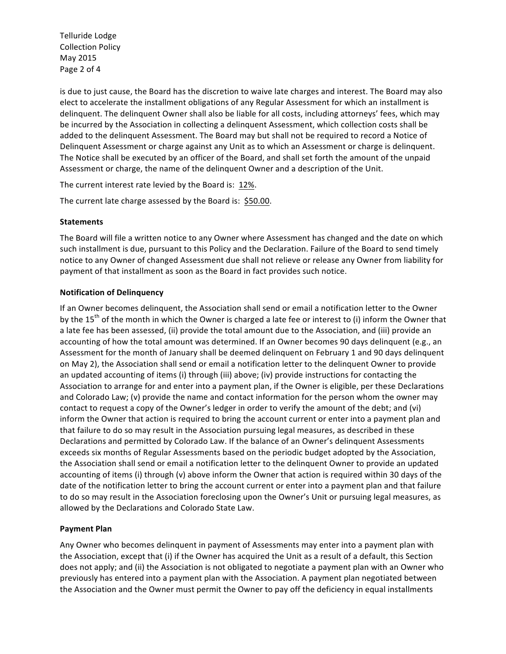Telluride Lodge Collection Policy May 2015 Page 2 of 4

is due to just cause, the Board has the discretion to waive late charges and interest. The Board may also elect to accelerate the installment obligations of any Regular Assessment for which an installment is delinquent. The delinquent Owner shall also be liable for all costs, including attorneys' fees, which may be incurred by the Association in collecting a delinquent Assessment, which collection costs shall be added to the delinquent Assessment. The Board may but shall not be required to record a Notice of Delinquent Assessment or charge against any Unit as to which an Assessment or charge is delinquent. The Notice shall be executed by an officer of the Board, and shall set forth the amount of the unpaid Assessment or charge, the name of the delinquent Owner and a description of the Unit.

The current interest rate levied by the Board is: 12%.

The current late charge assessed by the Board is: \$50.00.

#### **Statements**

The Board will file a written notice to any Owner where Assessment has changed and the date on which such installment is due, pursuant to this Policy and the Declaration. Failure of the Board to send timely notice to any Owner of changed Assessment due shall not relieve or release any Owner from liability for payment of that installment as soon as the Board in fact provides such notice.

#### **Notification of Delinquency**

If an Owner becomes delinquent, the Association shall send or email a notification letter to the Owner by the  $15<sup>th</sup>$  of the month in which the Owner is charged a late fee or interest to (i) inform the Owner that a late fee has been assessed, (ii) provide the total amount due to the Association, and (iii) provide an accounting of how the total amount was determined. If an Owner becomes 90 days delinguent (e.g., an Assessment for the month of January shall be deemed delinquent on February 1 and 90 days delinquent on May 2), the Association shall send or email a notification letter to the delinquent Owner to provide an updated accounting of items (i) through (iii) above; (iv) provide instructions for contacting the Association to arrange for and enter into a payment plan, if the Owner is eligible, per these Declarations and Colorado Law; (v) provide the name and contact information for the person whom the owner may contact to request a copy of the Owner's ledger in order to verify the amount of the debt; and (vi) inform the Owner that action is required to bring the account current or enter into a payment plan and that failure to do so may result in the Association pursuing legal measures, as described in these Declarations and permitted by Colorado Law. If the balance of an Owner's delinquent Assessments exceeds six months of Regular Assessments based on the periodic budget adopted by the Association, the Association shall send or email a notification letter to the delinquent Owner to provide an updated accounting of items (i) through (v) above inform the Owner that action is required within 30 days of the date of the notification letter to bring the account current or enter into a payment plan and that failure to do so may result in the Association foreclosing upon the Owner's Unit or pursuing legal measures, as allowed by the Declarations and Colorado State Law.

## **Payment Plan**

Any Owner who becomes delinquent in payment of Assessments may enter into a payment plan with the Association, except that (i) if the Owner has acquired the Unit as a result of a default, this Section does not apply; and (ii) the Association is not obligated to negotiate a payment plan with an Owner who previously has entered into a payment plan with the Association. A payment plan negotiated between the Association and the Owner must permit the Owner to pay off the deficiency in equal installments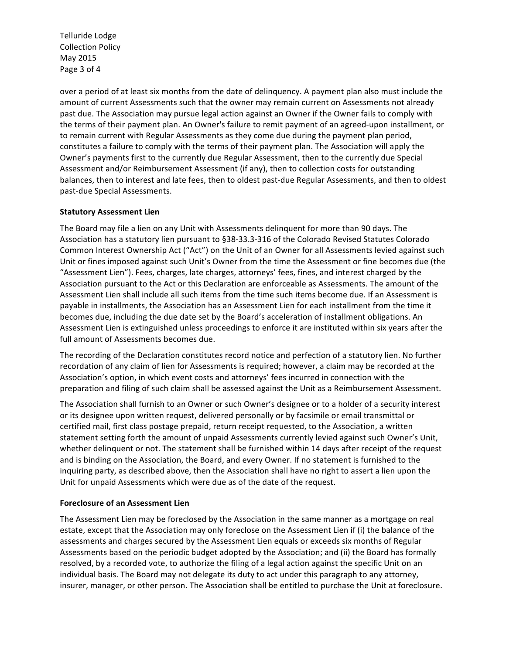Telluride Lodge **Collection Policy** May 2015 Page 3 of 4

over a period of at least six months from the date of delinquency. A payment plan also must include the amount of current Assessments such that the owner may remain current on Assessments not already past due. The Association may pursue legal action against an Owner if the Owner fails to comply with the terms of their payment plan. An Owner's failure to remit payment of an agreed-upon installment, or to remain current with Regular Assessments as they come due during the payment plan period, constitutes a failure to comply with the terms of their payment plan. The Association will apply the Owner's payments first to the currently due Regular Assessment, then to the currently due Special Assessment and/or Reimbursement Assessment (if any), then to collection costs for outstanding balances, then to interest and late fees, then to oldest past-due Regular Assessments, and then to oldest past-due Special Assessments.

## **Statutory Assessment Lien**

The Board may file a lien on any Unit with Assessments delinguent for more than 90 days. The Association has a statutory lien pursuant to §38-33.3-316 of the Colorado Revised Statutes Colorado Common Interest Ownership Act ("Act") on the Unit of an Owner for all Assessments levied against such Unit or fines imposed against such Unit's Owner from the time the Assessment or fine becomes due (the "Assessment Lien"). Fees, charges, late charges, attorneys' fees, fines, and interest charged by the Association pursuant to the Act or this Declaration are enforceable as Assessments. The amount of the Assessment Lien shall include all such items from the time such items become due. If an Assessment is payable in installments, the Association has an Assessment Lien for each installment from the time it becomes due, including the due date set by the Board's acceleration of installment obligations. An Assessment Lien is extinguished unless proceedings to enforce it are instituted within six years after the full amount of Assessments becomes due.

The recording of the Declaration constitutes record notice and perfection of a statutory lien. No further recordation of any claim of lien for Assessments is required; however, a claim may be recorded at the Association's option, in which event costs and attorneys' fees incurred in connection with the preparation and filing of such claim shall be assessed against the Unit as a Reimbursement Assessment.

The Association shall furnish to an Owner or such Owner's designee or to a holder of a security interest or its designee upon written request, delivered personally or by facsimile or email transmittal or certified mail, first class postage prepaid, return receipt requested, to the Association, a written statement setting forth the amount of unpaid Assessments currently levied against such Owner's Unit, whether delinquent or not. The statement shall be furnished within 14 days after receipt of the request and is binding on the Association, the Board, and every Owner. If no statement is furnished to the inquiring party, as described above, then the Association shall have no right to assert a lien upon the Unit for unpaid Assessments which were due as of the date of the request.

## **Foreclosure of an Assessment Lien**

The Assessment Lien may be foreclosed by the Association in the same manner as a mortgage on real estate, except that the Association may only foreclose on the Assessment Lien if (i) the balance of the assessments and charges secured by the Assessment Lien equals or exceeds six months of Regular Assessments based on the periodic budget adopted by the Association; and (ii) the Board has formally resolved, by a recorded vote, to authorize the filing of a legal action against the specific Unit on an individual basis. The Board may not delegate its duty to act under this paragraph to any attorney, insurer, manager, or other person. The Association shall be entitled to purchase the Unit at foreclosure.